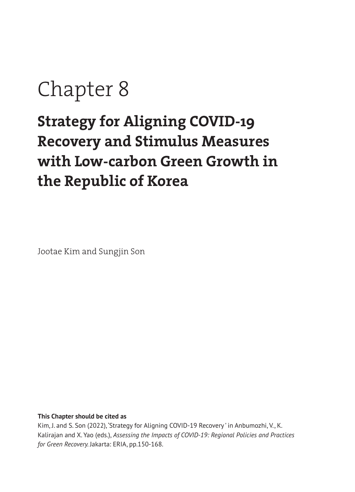# Chapter 8

# **Strategy for Aligning COVID-19 Recovery and Stimulus Measures with Low-carbon Green Growth in the Republic of Korea**

Jootae Kim and Sungjin Son

**This Chapter should be cited as** 

Kim, J. and S. Son (2022), 'Strategy for Aligning COVID-19 Recovery ' in Anbumozhi, V., K. Kalirajan and X. Yao (eds.), *Assessing the Impacts of COVID-19: Regional Policies and Practices for Green Recovery.* Jakarta: ERIA, pp.150-168.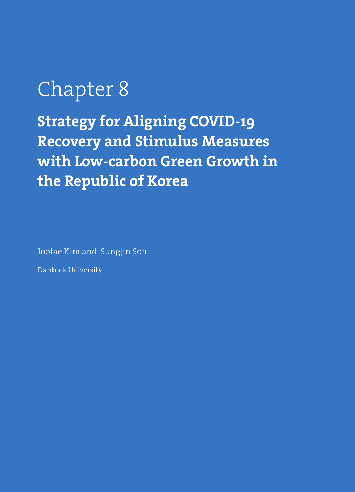# Chapter 8

**Strategy for Aligning COVID-19 Recovery and Stimulus Measures with Low-carbon Green Growth in the Republic of Korea**

Jootae Kim and Sungjin Son

Dankook University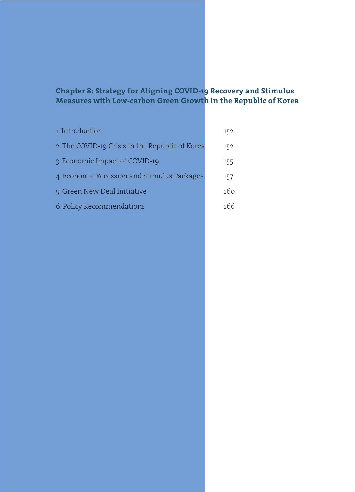# **Chapter 8: Strategy for Aligning COVID-19 Recovery and Stimulus Measures with Low-carbon Green Growth in the Republic of Korea**

| 1. Introduction                                 | 152 |
|-------------------------------------------------|-----|
| 2. The COVID-19 Crisis in the Republic of Korea | 152 |
| 3. Economic Impact of COVID-19                  | 155 |
| 4. Economic Recession and Stimulus Packages     | 157 |
| 5. Green New Deal Initiative                    | 160 |
| 6. Policy Recommendations                       | 166 |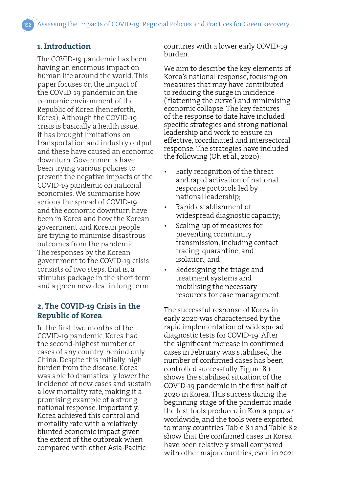### **1. Introduction**

The COVID-19 pandemic has been having an enormous impact on human life around the world. This paper focuses on the impact of the COVID-19 pandemic on the economic environment of the Republic of Korea (henceforth, Korea). Although the COVID-19 crisis is basically a health issue, it has brought limitations on transportation and industry output and these have caused an economic downturn. Governments have been trying various policies to prevent the negative impacts of the COVID-19 pandemic on national economies. We summarise how serious the spread of COVID-19 and the economic downturn have been in Korea and how the Korean government and Korean people are trying to minimise disastrous outcomes from the pandemic. The responses by the Korean government to the COVID-19 crisis consists of two steps, that is, a stimulus package in the short term and a green new deal in long term.

#### **2. The COVID-19 Crisis in the Republic of Korea**

In the first two months of the COVID-19 pandemic, Korea had the second-highest number of cases of any country, behind only China. Despite this initially high burden from the disease, Korea was able to dramatically lower the incidence of new cases and sustain a low mortality rate, making it a promising example of a strong national response. Importantly, Korea achieved this control and mortality rate with a relatively blunted economic impact given the extent of the outbreak when compared with other Asia-Pacific

countries with a lower early COVID-19 burden.

We aim to describe the key elements of Korea's national response, focusing on measures that may have contributed to reducing the surge in incidence ('flattening the curve') and minimising economic collapse. The key features of the response to date have included specific strategies and strong national leadership and work to ensure an effective, coordinated and intersectoral response. The strategies have included the following (Oh et al., 2020):

- Early recognition of the threat and rapid activation of national response protocols led by national leadership;
- Rapid establishment of widespread diagnostic capacity;
- Scaling-up of measures for preventing community transmission, including contact tracing, quarantine, and isolation; and
- Redesigning the triage and treatment systems and mobilising the necessary resources for case management.

The successful response of Korea in early 2020 was characterised by the rapid implementation of widespread diagnostic tests for COVID-19. After the significant increase in confirmed cases in February was stabilised, the number of confirmed cases has been controlled successfully. Figure 8.1 shows the stabilised situation of the COVID-19 pandemic in the first half of 2020 in Korea. This success during the beginning stage of the pandemic made the test tools produced in Korea popular worldwide, and the tools were exported to many countries. Table 8.1 and Table 8.2 show that the confirmed cases in Korea have been relatively small compared with other major countries, even in 2021.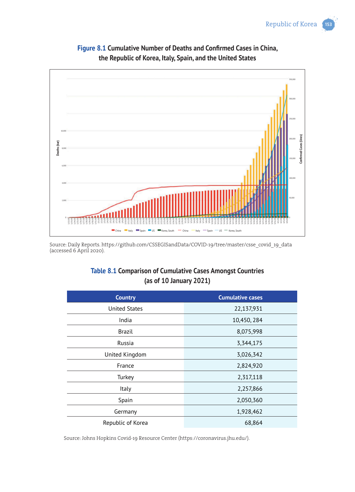

**Figure 8.1 Cumulative Number of Deaths and Confirmed Cases in China, the Republic of Korea, Italy, Spain, and the United States**

Source: Daily Reports. https://github.com/CSSEGISandData/COVID-19/tree/master/csse\_covid\_19\_data (accessed 6 April 2020).

# **Table 8.1 Comparison of Cumulative Cases Amongst Countries (as of 10 January 2021)**

| <b>Country</b>       | <b>Cumulative cases</b> |
|----------------------|-------------------------|
| <b>United States</b> | 22,137,931              |
| India                | 10,450, 284             |
| Brazil               | 8,075,998               |
| Russia               | 3,344,175               |
| United Kingdom       | 3,026,342               |
| France               | 2,824,920               |
| Turkey               | 2,317,118               |
| Italy                | 2,257,866               |
| Spain                | 2,050,360               |
| Germany              | 1,928,462               |
| Republic of Korea    | 68,864                  |

Source: Johns Hopkins Covid-19 Resource Center (https://coronavirus.jhu.edu/).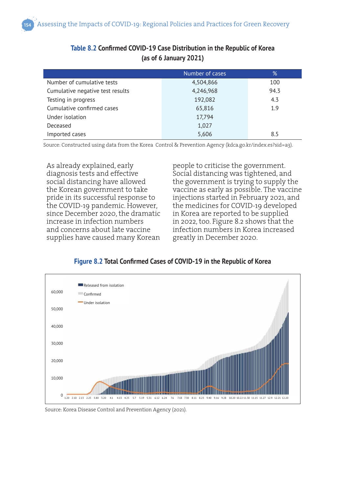|                                  | Number of cases | %    |
|----------------------------------|-----------------|------|
| Number of cumulative tests       | 4,504,866       | 100  |
| Cumulative negative test results | 4,246,968       | 94.3 |
| Testing in progress              | 192,082         | 4.3  |
| Cumulative confirmed cases       | 65,816          | 1.9  |
| Under isolation                  | 17,794          |      |
| Deceased                         | 1,027           |      |
| Imported cases                   | 5,606           | 8.5  |

# **Table 8.2 Confirmed COVID-19 Case Distribution in the Republic of Korea (as of 6 January 2021)**

Source: Constructed using data from the Korea Control & Prevention Agency (kdca.go.kr/index.es?sid=a3).

As already explained, early diagnosis tests and effective social distancing have allowed the Korean government to take pride in its successful response to the COVID-19 pandemic. However, since December 2020, the dramatic increase in infection numbers and concerns about late vaccine supplies have caused many Korean

people to criticise the government. Social distancing was tightened, and the government is trying to supply the vaccine as early as possible. The vaccine injections started in February 2021, and the medicines for COVID-19 developed in Korea are reported to be supplied in 2022, too. Figure 8.2 shows that the infection numbers in Korea increased greatly in December 2020.

#### **Figure 8.2 Total Confirmed Cases of COVID-19 in the Republic of Korea**



Source: Korea Disease Control and Prevention Agency (2021).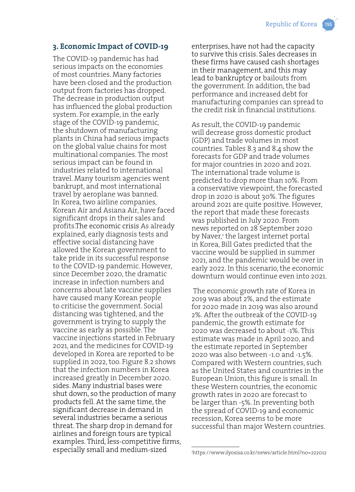#### **3. Economic Impact of COVID-19**

The COVID-19 pandemic has had serious impacts on the economies of most countries. Many factories have been closed and the production output from factories has dropped. The decrease in production output has influenced the global production system. For example, in the early stage of the COVID-19 pandemic, the shutdown of manufacturing plants in China had serious impacts on the global value chains for most multinational companies. The most serious impact can be found in industries related to international travel. Many tourism agencies went bankrupt, and most international travel by aeroplane was banned. In Korea, two airline companies, Korean Air and Asiana Air, have faced significant drops in their sales and profits.The economic crisis As already explained, early diagnosis tests and effective social distancing have allowed the Korean government to take pride in its successful response to the COVID-19 pandemic. However, since December 2020, the dramatic increase in infection numbers and concerns about late vaccine supplies have caused many Korean people to criticise the government. Social distancing was tightened, and the government is trying to supply the vaccine as early as possible. The vaccine injections started in February 2021, and the medicines for COVID-19 developed in Korea are reported to be supplied in 2022, too. Figure 8.2 shows that the infection numbers in Korea increased greatly in December 2020. sides. Many industrial bases were shut down, so the production of many products fell. At the same time, the significant decrease in demand in several industries became a serious threat. The sharp drop in demand for airlines and foreign tours are typical examples. Third, less-competitive firms, especially small and medium-sized

enterprises, have not had the capacity to survive this crisis. Sales decreases in these firms have caused cash shortages in their management, and this may lead to bankruptcy or bailouts from the government. In addition, the bad performance and increased debt for manufacturing companies can spread to the credit risk in financial institutions.

As result, the COVID-19 pandemic will decrease gross domestic product (GDP) and trade volumes in most countries. Tables 8.3 and 8.4 show the forecasts for GDP and trade volumes for major countries in 2020 and 2021. The international trade volume is predicted to drop more than 10%. From a conservative viewpoint, the forecasted drop in 2020 is about 30%. The figures around 2021 are quite positive. However, the report that made these forecasts was published in July 2020. From news reported on 28 September 2020 by Naver,1 the largest internet portal in Korea, Bill Gates predicted that the vaccine would be supplied in summer 2021, and the pandemic would be over in early 2022. In this scenario, the economic downturn would continue even into 2021.

 The economic growth rate of Korea in 2019 was about 2%, and the estimate for 2020 made in 2019 was also around 2%. After the outbreak of the COVID-19 pandemic, the growth estimate for 2020 was decreased to about -1%. This estimate was made in April 2020, and the estimate reported in September 2020 was also between -1.0 and -1.5%. Compared with Western countries, such as the United States and countries in the European Union, this figure is small. In these Western countries, the economic growth rates in 2020 are forecast to be larger than -5%. In preventing both the spread of COVID-19 and economic recession, Korea seems to be more successful than major Western countries.

<sup>1</sup> https://www.ilyosisa.co.kr/news/article.html?no=222012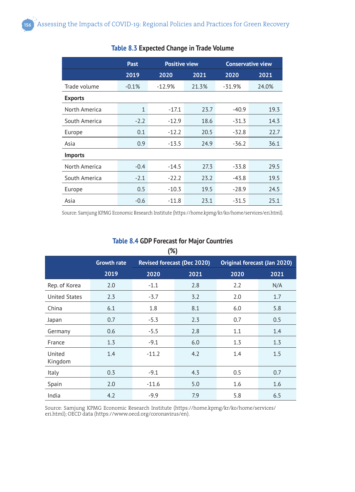|                | <b>Past</b>  | <b>Positive view</b> |       | <b>Conservative view</b> |       |
|----------------|--------------|----------------------|-------|--------------------------|-------|
|                | 2019         | 2020                 | 2021  | 2020                     | 2021  |
| Trade volume   | $-0.1%$      | $-12.9%$             | 21.3% | $-31.9%$                 | 24.0% |
| <b>Exports</b> |              |                      |       |                          |       |
| North America  | $\mathbf{1}$ | $-17.1$              | 23.7  | $-40.9$                  | 19.3  |
| South America  | $-2.2$       | $-12.9$              | 18.6  | $-31.3$                  | 14.3  |
| Europe         | 0.1          | $-12.2$              | 20.5  | $-32.8$                  | 22.7  |
| Asia           | 0.9          | $-13.5$              | 24.9  | $-36.2$                  | 36.1  |
| <b>Imports</b> |              |                      |       |                          |       |
| North America  | $-0.4$       | $-14.5$              | 27.3  | $-33.8$                  | 29.5  |
| South America  | $-2.1$       | $-22.2$              | 23.2  | $-43.8$                  | 19.5  |
| Europe         | 0.5          | $-10.3$              | 19.5  | $-28.9$                  | 24.5  |
| Asia           | $-0.6$       | $-11.8$              | 23.1  | $-31.5$                  | 25.1  |

#### **Table 8.3 Expected Change in Trade Volume**

Source: Samjung KPMG Economic Research Institute (https://home.kpmg/kr/ko/home/services/eri.html).

| <b>Table 8.4 GDP Forecast for Major Countries</b> |  |
|---------------------------------------------------|--|
| (%)                                               |  |

| $\mathbf{v}$         |                    |         |                                    |                              |      |
|----------------------|--------------------|---------|------------------------------------|------------------------------|------|
|                      | <b>Growth rate</b> |         | <b>Revised forecast (Dec 2020)</b> | Original forecast (Jan 2020) |      |
|                      | 2019               | 2020    | 2021                               | 2020                         | 2021 |
| Rep. of Korea        | 2.0                | $-1.1$  | 2.8                                | 2.2                          | N/A  |
| <b>United States</b> | 2.3                | $-3.7$  | 3.2                                | 2.0                          | 1.7  |
| China                | 6.1                | 1.8     | 8.1                                | 6.0                          | 5.8  |
| Japan                | 0.7                | $-5.3$  | 2.3                                | 0.7                          | 0.5  |
| Germany              | 0.6                | $-5.5$  | 2.8                                | 1.1                          | 1.4  |
| France               | 1.3                | $-9.1$  | 6.0                                | 1.3                          | 1.3  |
| United<br>Kingdom    | 1.4                | $-11.2$ | 4.2                                | 1.4                          | 1.5  |
| Italy                | 0.3                | $-9.1$  | 4.3                                | 0.5                          | 0.7  |
| Spain                | 2.0                | $-11.6$ | 5.0                                | 1.6                          | 1.6  |
| India                | 4.2                | $-9.9$  | 7.9                                | 5.8                          | 6.5  |

Source: Samjung KPMG Economic Research Institute (https://home.kpmg/kr/ko/home/services/ eri.html); OECD data (https://www.oecd.org/coronavirus/en).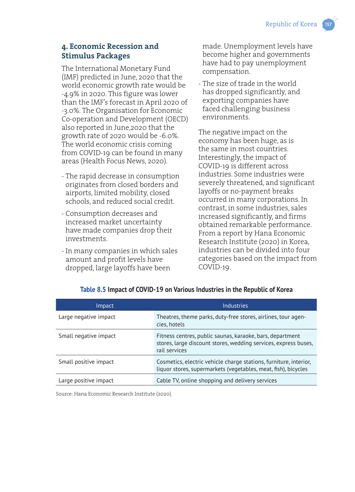# **4. Economic Recession and Stimulus Packages**

The International Monetary Fund (IMF) predicted in June, 2020 that the world economic growth rate would be -4.9% in 2020. This figure was lower than the IMF's forecast in April 2020 of -3.0%. The Organisation for Economic Co-operation and Development (OECD) also reported in June,2020 that the growth rate of 2020 would be -6.0%. The world economic crisis coming from COVID-19 can be found in many areas (Health Focus News, 2020).

- The rapid decrease in consumption originates from closed borders and airports, limited mobility, closed schools, and reduced social credit.
- Consumption decreases and increased market uncertainty have made companies drop their investments.
- In many companies in which sales amount and profit levels have dropped, large layoffs have been

made. Unemployment levels have become higher and governments have had to pay unemployment compensation.

- The size of trade in the world has dropped significantly, and exporting companies have faced challenging business environments.

The negative impact on the economy has been huge, as is the same in most countries. Interestingly, the impact of COVID-19 is different across industries. Some industries were severely threatened, and significant layoffs or no-payment breaks occurred in many corporations. In contrast, in some industries, sales increased significantly, and firms obtained remarkable performance. From a report by Hana Economic Research Institute (2020) in Korea, industries can be divided into four categories based on the impact from COVID-19.

| Impact                | <b>Industries</b>                                                                                                                             |
|-----------------------|-----------------------------------------------------------------------------------------------------------------------------------------------|
| Large negative impact | Theatres, theme parks, duty-free stores, airlines, tour agen-<br>cies, hotels                                                                 |
| Small negative impact | Fitness centres, public saunas, karaoke, bars, department<br>stores, large discount stores, wedding services, express buses,<br>rail services |
| Small positive impact | Cosmetics, electric vehicle charge stations, furniture, interior,<br>liquor stores, supermarkets (vegetables, meat, fish), bicycles           |
| Large positive impact | Cable TV, online shopping and delivery services                                                                                               |

#### **Table 8.5 Impact of COVID-19 on Various Industries in the Republic of Korea**

Source: Hana Economic Research Institute (2020).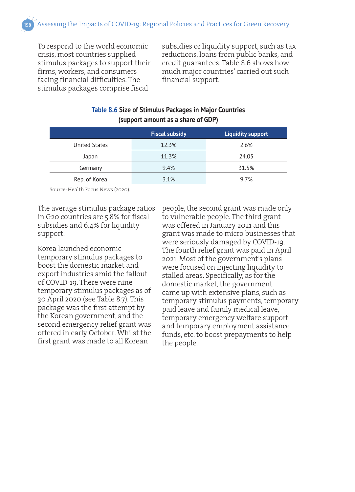To respond to the world economic crisis, most countries supplied stimulus packages to support their firms, workers, and consumers facing financial difficulties. The stimulus packages comprise fiscal

subsidies or liquidity support, such as tax reductions, loans from public banks, and credit guarantees. Table 8.6 shows how much major countries' carried out such financial support.

# **Table 8.6 Size of Stimulus Packages in Major Countries (support amount as a share of GDP)**

|                      | <b>Fiscal subsidy</b> | <b>Liquidity support</b> |
|----------------------|-----------------------|--------------------------|
| <b>United States</b> | 12.3%                 | 2.6%                     |
| Japan                | 11.3%                 | 24.05                    |
| Germany              | 9.4%                  | 31.5%                    |
| Rep. of Korea        | 3.1%                  | 9.7%                     |

Source: Health Focus News (2020).

The average stimulus package ratios in G20 countries are 5.8% for fiscal subsidies and 6.4% for liquidity support.

Korea launched economic temporary stimulus packages to boost the domestic market and export industries amid the fallout of COVID-19. There were nine temporary stimulus packages as of 30 April 2020 (see Table 8.7). This package was the first attempt by the Korean government, and the second emergency relief grant was offered in early October. Whilst the first grant was made to all Korean

people, the second grant was made only to vulnerable people. The third grant was offered in January 2021 and this grant was made to micro businesses that were seriously damaged by COVID-19. The fourth relief grant was paid in April 2021. Most of the government's plans were focused on injecting liquidity to stalled areas. Specifically, as for the domestic market, the government came up with extensive plans, such as temporary stimulus payments, temporary paid leave and family medical leave, temporary emergency welfare support, and temporary employment assistance funds, etc. to boost prepayments to help the people.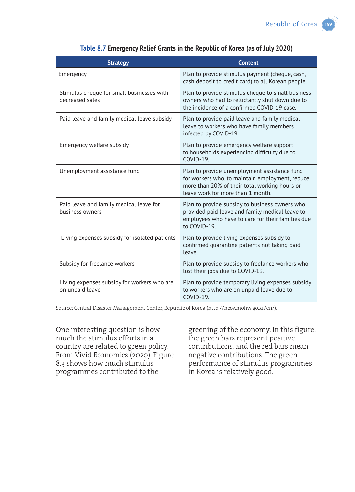| <b>Strategy</b>                                                | <b>Content</b>                                                                                                                                                                        |
|----------------------------------------------------------------|---------------------------------------------------------------------------------------------------------------------------------------------------------------------------------------|
| Emergency                                                      | Plan to provide stimulus payment (cheque, cash,<br>cash deposit to credit card) to all Korean people.                                                                                 |
| Stimulus cheque for small businesses with<br>decreased sales   | Plan to provide stimulus cheque to small business<br>owners who had to reluctantly shut down due to<br>the incidence of a confirmed COVID-19 case.                                    |
| Paid leave and family medical leave subsidy                    | Plan to provide paid leave and family medical<br>leave to workers who have family members<br>infected by COVID-19.                                                                    |
| Emergency welfare subsidy                                      | Plan to provide emergency welfare support<br>to households experiencing difficulty due to<br>$COVID-19.$                                                                              |
| Unemployment assistance fund                                   | Plan to provide unemployment assistance fund<br>for workers who, to maintain employment, reduce<br>more than 20% of their total working hours or<br>leave work for more than 1 month. |
| Paid leave and family medical leave for<br>business owners     | Plan to provide subsidy to business owners who<br>provided paid leave and family medical leave to<br>employees who have to care for their families due<br>to COVID-19.                |
| Living expenses subsidy for isolated patients                  | Plan to provide living expenses subsidy to<br>confirmed quarantine patients not taking paid<br>leave.                                                                                 |
| Subsidy for freelance workers                                  | Plan to provide subsidy to freelance workers who<br>lost their jobs due to COVID-19.                                                                                                  |
| Living expenses subsidy for workers who are<br>on unpaid leave | Plan to provide temporary living expenses subsidy<br>to workers who are on unpaid leave due to<br>$COVID-19.$                                                                         |

#### **Table 8.7 Emergency Relief Grants in the Republic of Korea (as of July 2020)**

Source: Central Disaster Management Center, Republic of Korea (http://ncov.mohw.go.kr/en/).

One interesting question is how much the stimulus efforts in a country are related to green policy. From Vivid Economics (2020), Figure 8.3 shows how much stimulus programmes contributed to the

greening of the economy. In this figure, the green bars represent positive contributions, and the red bars mean negative contributions. The green performance of stimulus programmes in Korea is relatively good.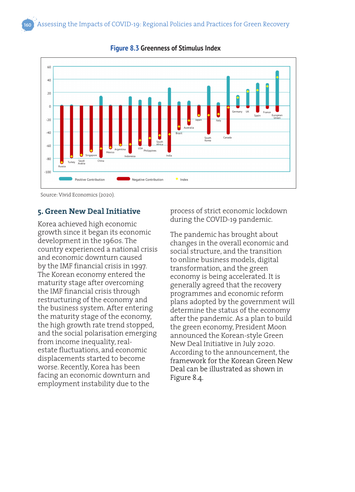

**Figure 8.3 Greenness of Stimulus Index**

Source: Vivid Economics (2020).

# **5. Green New Deal Initiative**

Korea achieved high economic growth since it began its economic development in the 1960s. The country experienced a national crisis and economic downturn caused by the IMF financial crisis in 1997. The Korean economy entered the maturity stage after overcoming the IMF financial crisis through restructuring of the economy and the business system. After entering the maturity stage of the economy, the high growth rate trend stopped, and the social polarisation emerging from income inequality, realestate fluctuations, and economic displacements started to become worse. Recently, Korea has been facing an economic downturn and employment instability due to the

process of strict economic lockdown during the COVID-19 pandemic.

The pandemic has brought about changes in the overall economic and social structure, and the transition to online business models, digital transformation, and the green economy is being accelerated. It is generally agreed that the recovery programmes and economic reform plans adopted by the government will determine the status of the economy after the pandemic. As a plan to build the green economy, President Moon announced the Korean-style Green New Deal Initiative in July 2020. According to the announcement, the framework for the Korean Green New Deal can be illustrated as shown in Figure 8.4.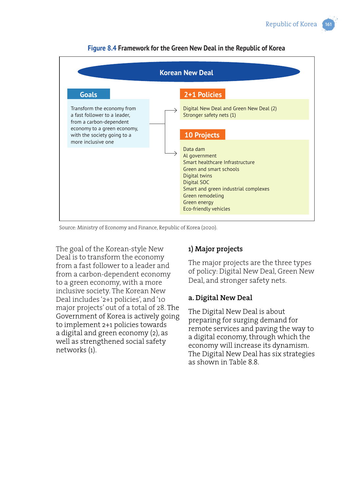

**Figure 8.4 Framework for the Green New Deal in the Republic of Korea**

Source: Ministry of Economy and Finance, Republic of Korea (2020).

The goal of the Korean-style New Deal is to transform the economy from a fast follower to a leader and from a carbon-dependent economy to a green economy, with a more inclusive society. The Korean New Deal includes '2+1 policies', and '10 major projects' out of a total of 28. The Government of Korea is actively going to implement 2+1 policies towards a digital and green economy (2), as well as strengthened social safety networks (1).

# **1) Major projects**

The major projects are the three types of policy: Digital New Deal, Green New Deal, and stronger safety nets.

#### **a. Digital New Deal**

The Digital New Deal is about preparing for surging demand for remote services and paving the way to a digital economy, through which the economy will increase its dynamism. The Digital New Deal has six strategies as shown in Table 8.8.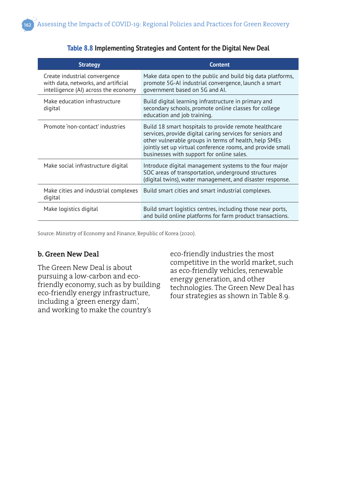| <b>Strategy</b>                                                                                              | <b>Content</b>                                                                                                                                                                                                                                                                         |
|--------------------------------------------------------------------------------------------------------------|----------------------------------------------------------------------------------------------------------------------------------------------------------------------------------------------------------------------------------------------------------------------------------------|
| Create industrial convergence<br>with data, networks, and artificial<br>intelligence (AI) across the economy | Make data open to the public and build big data platforms,<br>promote 5G-AI industrial convergence, launch a smart<br>government based on 5G and Al.                                                                                                                                   |
| Make education infrastructure<br>digital                                                                     | Build digital learning infrastructure in primary and<br>secondary schools, promote online classes for college<br>education and job training.                                                                                                                                           |
| Promote 'non-contact' industries                                                                             | Build 18 smart hospitals to provide remote healthcare<br>services, provide digital caring services for seniors and<br>other vulnerable groups in terms of health, help SMEs<br>jointly set up virtual conference rooms, and provide small<br>businesses with support for online sales. |
| Make social infrastructure digital                                                                           | Introduce digital management systems to the four major<br>SOC areas of transportation, underground structures<br>(digital twins), water management, and disaster response.                                                                                                             |
| Make cities and industrial complexes<br>digital                                                              | Build smart cities and smart industrial complexes.                                                                                                                                                                                                                                     |
| Make logistics digital                                                                                       | Build smart logistics centres, including those near ports,<br>and build online platforms for farm product transactions.                                                                                                                                                                |

#### **Table 8.8 Implementing Strategies and Content for the Digital New Deal**

Source: Ministry of Economy and Finance, Republic of Korea (2020).

# **b. Green New Deal**

The Green New Deal is about pursuing a low-carbon and ecofriendly economy, such as by building eco-friendly energy infrastructure, including a 'green energy dam', and working to make the country's

eco-friendly industries the most competitive in the world market, such as eco-friendly vehicles, renewable energy generation, and other technologies. The Green New Deal has four strategies as shown in Table 8.9.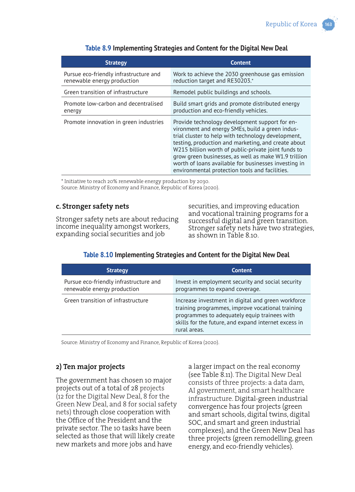| <b>Strategy</b>                                                       | <b>Content</b>                                                                                                                                                                                                                                                                                                                                                                                                                          |
|-----------------------------------------------------------------------|-----------------------------------------------------------------------------------------------------------------------------------------------------------------------------------------------------------------------------------------------------------------------------------------------------------------------------------------------------------------------------------------------------------------------------------------|
| Pursue eco-friendly infrastructure and<br>renewable energy production | Work to achieve the 2030 greenhouse gas emission<br>reduction target and RE30203.*                                                                                                                                                                                                                                                                                                                                                      |
| Green transition of infrastructure                                    | Remodel public buildings and schools.                                                                                                                                                                                                                                                                                                                                                                                                   |
| Promote low-carbon and decentralised<br>energy                        | Build smart grids and promote distributed energy<br>production and eco-friendly vehicles.                                                                                                                                                                                                                                                                                                                                               |
| Promote innovation in green industries                                | Provide technology development support for en-<br>vironment and energy SMEs, build a green indus-<br>trial cluster to help with technology development,<br>testing, production and marketing, and create about<br>W215 billion worth of public-private joint funds to<br>grow green businesses, as well as make W1.9 trillion<br>worth of loans available for businesses investing in<br>environmental protection tools and facilities. |

#### **Table 8.9 Implementing Strategies and Content for the Digital New Deal**

\* Initiative to reach 20% renewable energy production by 2030. Source: Ministry of Economy and Finance, Republic of Korea (2020).

#### **c. Stronger safety nets**

Stronger safety nets are about reducing income inequality amongst workers, expanding social securities and job

securities, and improving education and vocational training programs for a successful digital and green transition. Stronger safety nets have two strategies, as shown in Table 8.10.

| <b>Strategy</b>                                                       | <b>Content</b>                                                                                                                                                                                                                 |
|-----------------------------------------------------------------------|--------------------------------------------------------------------------------------------------------------------------------------------------------------------------------------------------------------------------------|
| Pursue eco-friendly infrastructure and<br>renewable energy production | Invest in employment security and social security<br>programmes to expand coverage.                                                                                                                                            |
| Green transition of infrastructure                                    | Increase investment in digital and green workforce<br>training programmes, improve vocational training<br>programmes to adequately equip trainees with<br>skills for the future, and expand internet excess in<br>rural areas. |

#### **Table 8.10 Implementing Strategies and Content for the Digital New Deal**

Source: Ministry of Economy and Finance, Republic of Korea (2020).

# **2) Ten major projects**

The government has chosen 10 major projects out of a total of 28 projects (12 for the Digital New Deal, 8 for the Green New Deal, and 8 for social safety nets) through close cooperation with the Office of the President and the private sector. The 10 tasks have been selected as those that will likely create new markets and more jobs and have

a larger impact on the real economy (see Table 8.11). The Digital New Deal consists of three projects: a data dam, AI government, and smart healthcare infrastructure. Digital-green industrial convergence has four projects (green and smart schools, digital twins, digital SOC, and smart and green industrial complexes), and the Green New Deal has three projects (green remodelling, green energy, and eco-friendly vehicles).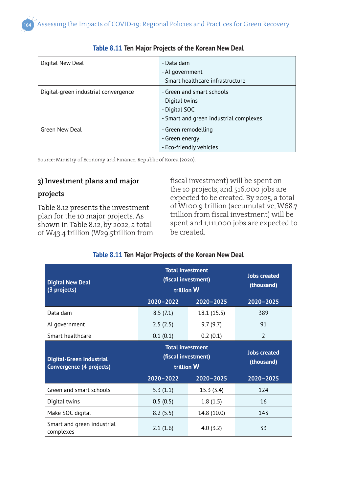| Digital New Deal                     | - Data dam                             |  |  |
|--------------------------------------|----------------------------------------|--|--|
|                                      | - Al government                        |  |  |
|                                      | - Smart healthcare infrastructure      |  |  |
| Digital-green industrial convergence | - Green and smart schools              |  |  |
|                                      | - Digital twins                        |  |  |
|                                      | - Digital SOC                          |  |  |
|                                      | - Smart and green industrial complexes |  |  |
| Green New Deal                       | - Green remodelling                    |  |  |
|                                      | - Green energy                         |  |  |
|                                      | - Eco-friendly vehicles                |  |  |

#### **Table 8.11 Ten Major Projects of the Korean New Deal**

Source: Ministry of Economy and Finance, Republic of Korea (2020).

# **3) Investment plans and major**

#### **projects**

Table 8.12 presents the investment plan for the 10 major projects. As shown in Table 8.12, by 2022, a total of W43.4 trillion (W29.5trillion from fiscal investment) will be spent on the 10 projects, and 516,000 jobs are expected to be created. By 2025, a total of W100.9 trillion (accumulative, W68.7 trillion from fiscal investment) will be spent and 1,111,000 jobs are expected to be created.

#### **Table 8.11 Ten Major Projects of the Korean New Deal**

| <b>Digital New Deal</b><br>(3 projects)                     | <b>Total investment</b><br>(fiscal investment)<br>trillion W |               | <b>Jobs created</b><br>(thousand) |
|-------------------------------------------------------------|--------------------------------------------------------------|---------------|-----------------------------------|
|                                                             | $2020 - 2022$                                                | $2020 - 2025$ | $2020 - 2025$                     |
| Data dam                                                    | 8.5(7.1)                                                     | 18.1 (15.5)   | 389                               |
| Al government                                               | 2.5(2.5)                                                     | 9.7(9.7)      | 91                                |
| Smart healthcare                                            | 0.1(0.1)                                                     | 0.2(0.1)      | 2                                 |
| <b>Digital-Green Industrial</b><br>Convergence (4 projects) | <b>Total investment</b><br>(fiscal investment)<br>trillion W |               | <b>Jobs created</b><br>(thousand) |
|                                                             | $2020 - 2022$                                                | $2020 - 2025$ | $2020 - 2025$                     |
| Green and smart schools                                     | 5.3(1.1)                                                     | 15.3 (3.4)    | 124                               |
| Digital twins                                               | 0.5(0.5)                                                     | 1.8(1.5)      | 16                                |
| Make SOC digital                                            | 8.2(5.5)                                                     | 14.8 (10.0)   | 143                               |
| Smart and green industrial<br>complexes                     | 2.1(1.6)                                                     | 4.0(3.2)      | 33                                |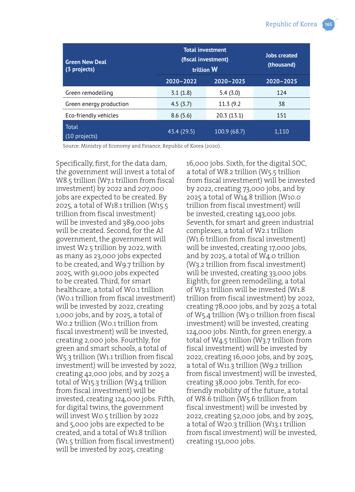| <b>Green New Deal</b><br>(3 projects) | <b>Total investment</b><br>(fiscal investment)<br>trillion W |               | <b>Jobs created</b><br>(thousand) |
|---------------------------------------|--------------------------------------------------------------|---------------|-----------------------------------|
|                                       | 2020-2022                                                    | $2020 - 2025$ | $2020 - 2025$                     |
| Green remodelling                     | 3.1(1.8)                                                     | 5.4(3.0)      | 124                               |
| Green energy production               | 4.5(3.7)                                                     | 11.3 (9.2)    | 38                                |
| Eco-friendly vehicles                 | 8.6(5.6)                                                     | 20.3 (13.1)   | 151                               |
| Total<br>(10 projects)                | 43.4 (29.5)                                                  | 100.9 (68.7)  | 1,110                             |

Source: Ministry of Economy and Finance, Republic of Korea (2020).

Specifically, first, for the data dam, the government will invest a total of W8.5 trillion (W7.1 trillion from fiscal investment) by 2022 and 207,000 jobs are expected to be created. By 2025, a total of W18.1 trillion (W15.5 trillion from fiscal investment) will be invested and 389,000 jobs will be created. Second, for the AI government, the government will invest W2.5 trillion by 2022, with as many as 23,000 jobs expected to be created, and W9.7 trillion by 2025, with 91,000 jobs expected to be created. Third, for smart healthcare, a total of W0.1 trillion (W0.1 trillion from fiscal investment) will be invested by 2022, creating 1,000 jobs, and by 2025, a total of W0.2 trillion (W0.1 trillion from fiscal investment) will be invested, creating 2,000 jobs. Fourthly, for green and smart schools, a total of W5.3 trillion (W1.1 trillion from fiscal investment) will be invested by 2022, creating 42,000 jobs, and by 2025 a total of W15.3 trillion (W3.4 trillion from fiscal investment) will be invested, creating 124,000 jobs. Fifth, for digital twins, the government will invest W0.5 trillion by 2022 and 5,000 jobs are expected to be created, and a total of W1.8 trillion (W1.5 trillion from fiscal investment) will be invested by 2025, creating

16,000 jobs. Sixth, for the digital SOC, a total of W8.2 trillion (W5.5 trillion from fiscal investment) will be invested by 2022, creating 73,000 jobs, and by 2025 a total of W14.8 trillion (W10.0 trillion from fiscal investment) will be invested, creating 143,000 jobs. Seventh, for smart and green industrial complexes, a total of W2.1 trillion (W1.6 trillion from fiscal investment) will be invested, creating 17,000 jobs, and by 2025, a total of W4.0 trillion (W3.2 trillion from fiscal investment) will be invested, creating 33,000 jobs. Eighth, for green remodelling, a total of W3.1 trillion will be invested (W1.8 trillion from fiscal investment) by 2022, creating 78,000 jobs, and by 2025 a total of W5.4 trillion (W3.0 trillion from fiscal investment) will be invested, creating 124,000 jobs. Ninth, for green energy, a total of W4.5 trillion (W3.7 trillion from fiscal investment) will be invested by 2022, creating 16,000 jobs, and by 2025, a total of W11.3 trillion (W9.2 trillion from fiscal investment) will be invested, creating 38,000 jobs. Tenth, for ecofriendly mobility of the future, a total of W8.6 trillion (W5.6 trillion from fiscal investment) will be invested by 2022, creating 52,000 jobs, and by 2025, a total of W20.3 trillion (W13.1 trillion from fiscal investment) will be invested, creating 151,000 jobs.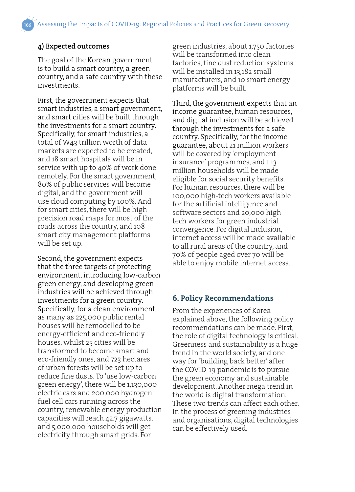# **4) Expected outcomes**

The goal of the Korean government is to build a smart country, a green country, and a safe country with these investments.

First, the government expects that smart industries, a smart government, and smart cities will be built through the investments for a smart country. Specifically, for smart industries, a total of W43 trillion worth of data markets are expected to be created, and 18 smart hospitals will be in service with up to 40% of work done remotely. For the smart government, 80% of public services will become digital, and the government will use cloud computing by 100%. And for smart cities, there will be highprecision road maps for most of the roads across the country, and 108 smart city management platforms will be set up.

Second, the government expects that the three targets of protecting environment, introducing low-carbon green energy, and developing green industries will be achieved through investments for a green country. Specifically, for a clean environment, as many as 225,000 public rental houses will be remodelled to be energy-efficient and eco-friendly houses, whilst 25 cities will be transformed to become smart and eco-friendly ones, and 723 hectares of urban forests will be set up to reduce fine dusts. To 'use low-carbon green energy', there will be 1,130,000 electric cars and 200,000 hydrogen fuel cell cars running across the country, renewable energy production capacities will reach 42.7 gigawatts, and 5,000,000 households will get electricity through smart grids. For

green industries, about 1,750 factories will be transformed into clean factories, fine dust reduction systems will be installed in 13,182 small manufacturers, and 10 smart energy platforms will be built.

Third, the government expects that an income guarantee, human resources, and digital inclusion will be achieved through the investments for a safe country. Specifically, for the income guarantee, about 21 million workers will be covered by 'employment insurance' programmes, and 1.13 million households will be made eligible for social security benefits. For human resources, there will be 100,000 high-tech workers available for the artificial intelligence and software sectors and 20,000 hightech workers for green industrial convergence. For digital inclusion, internet access will be made available to all rural areas of the country, and 70% of people aged over 70 will be able to enjoy mobile internet access.

# **6. Policy Recommendations**

From the experiences of Korea explained above, the following policy recommendations can be made. First, the role of digital technology is critical. Greenness and sustainability is a huge trend in the world society, and one way for 'building back better' after the COVID-19 pandemic is to pursue the green economy and sustainable development. Another mega trend in the world is digital transformation. These two trends can affect each other. In the process of greening industries and organisations, digital technologies can be effectively used.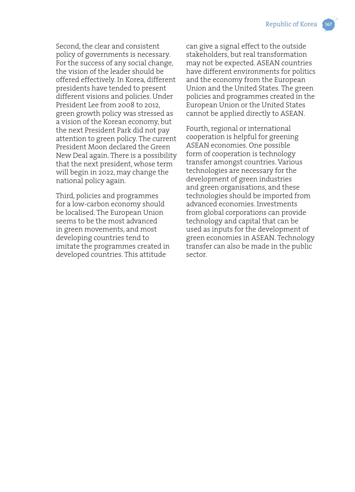Second, the clear and consistent policy of governments is necessary. For the success of any social change, the vision of the leader should be offered effectively. In Korea, different presidents have tended to present different visions and policies. Under President Lee from 2008 to 2012, green growth policy was stressed as a vision of the Korean economy, but the next President Park did not pay attention to green policy. The current President Moon declared the Green New Deal again. There is a possibility that the next president, whose term will begin in 2022, may change the national policy again.

Third, policies and programmes for a low-carbon economy should be localised. The European Union seems to be the most advanced in green movements, and most developing countries tend to imitate the programmes created in developed countries. This attitude

can give a signal effect to the outside stakeholders, but real transformation may not be expected. ASEAN countries have different environments for politics and the economy from the European Union and the United States. The green policies and programmes created in the European Union or the United States cannot be applied directly to ASEAN.

Fourth, regional or international cooperation is helpful for greening ASEAN economies. One possible form of cooperation is technology transfer amongst countries. Various technologies are necessary for the development of green industries and green organisations, and these technologies should be imported from advanced economies. Investments from global corporations can provide technology and capital that can be used as inputs for the development of green economies in ASEAN. Technology transfer can also be made in the public sector.